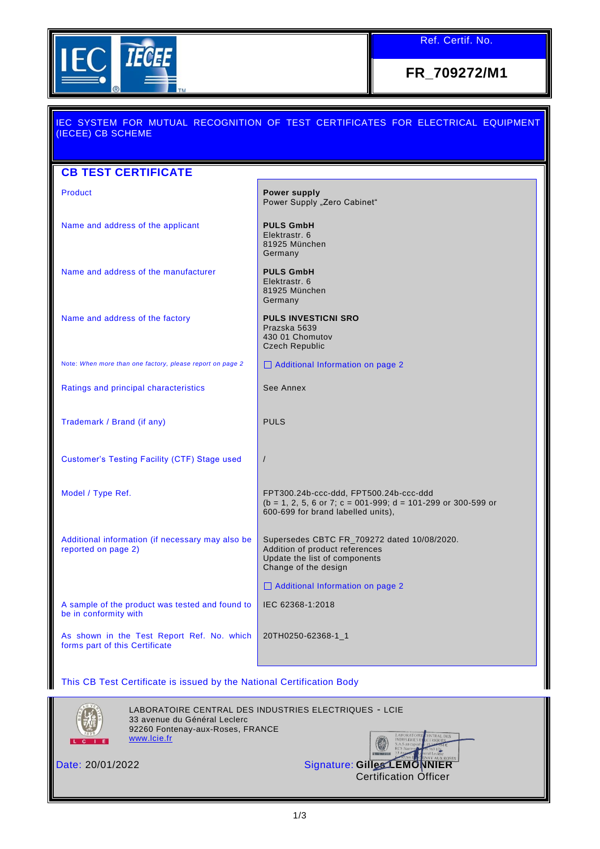

Ref. Certif. No.

**FR\_709272/M1**

| IEC SYSTEM FOR MUTUAL RECOGNITION OF TEST CERTIFICATES FOR ELECTRICAL EQUIPMENT<br>(IECEE) CB SCHEME |                                                                                                                                                |
|------------------------------------------------------------------------------------------------------|------------------------------------------------------------------------------------------------------------------------------------------------|
|                                                                                                      |                                                                                                                                                |
| <b>CB TEST CERTIFICATE</b>                                                                           |                                                                                                                                                |
| <b>Product</b>                                                                                       | <b>Power supply</b><br>Power Supply "Zero Cabinet"                                                                                             |
| Name and address of the applicant                                                                    | <b>PULS GmbH</b><br>Elektrastr, 6<br>81925 München<br>Germany                                                                                  |
| Name and address of the manufacturer                                                                 | <b>PULS GmbH</b><br>Elektrastr. 6<br>81925 München<br>Germany                                                                                  |
| Name and address of the factory                                                                      | <b>PULS INVESTICNI SRO</b><br>Prazska 5639<br>430 01 Chomutov<br><b>Czech Republic</b>                                                         |
| Note: When more than one factory, please report on page 2                                            | □ Additional Information on page 2                                                                                                             |
| Ratings and principal characteristics                                                                | See Annex                                                                                                                                      |
| Trademark / Brand (if any)                                                                           | <b>PULS</b>                                                                                                                                    |
| <b>Customer's Testing Facility (CTF) Stage used</b>                                                  | $\sqrt{2}$                                                                                                                                     |
| Model / Type Ref.                                                                                    | FPT300.24b-ccc-ddd, FPT500.24b-ccc-ddd<br>$(b = 1, 2, 5, 6$ or 7; c = 001-999; d = 101-299 or 300-599 or<br>600-699 for brand labelled units), |
| Additional information (if necessary may also be<br>reported on page 2)                              | Supersedes CBTC FR_709272 dated 10/08/2020.<br>Addition of product references<br>Update the list of components<br>Change of the design         |
|                                                                                                      | Additional Information on page 2                                                                                                               |
| A sample of the product was tested and found to<br>be in conformity with                             | IEC 62368-1:2018                                                                                                                               |
| As shown in the Test Report Ref. No. which<br>forms part of this Certificate                         | 20TH0250-62368-1_1                                                                                                                             |

This CB Test Certificate is issued by the National Certification Body



LABORATOIRE CENTRAL DES INDUSTRIES ELECTRIQUES - LCIE 33 avenue du Général Leclerc 92260 Fontenay-aux-Roses, FRANCE [www.lcie.fr](http://www.lcie.fr/)

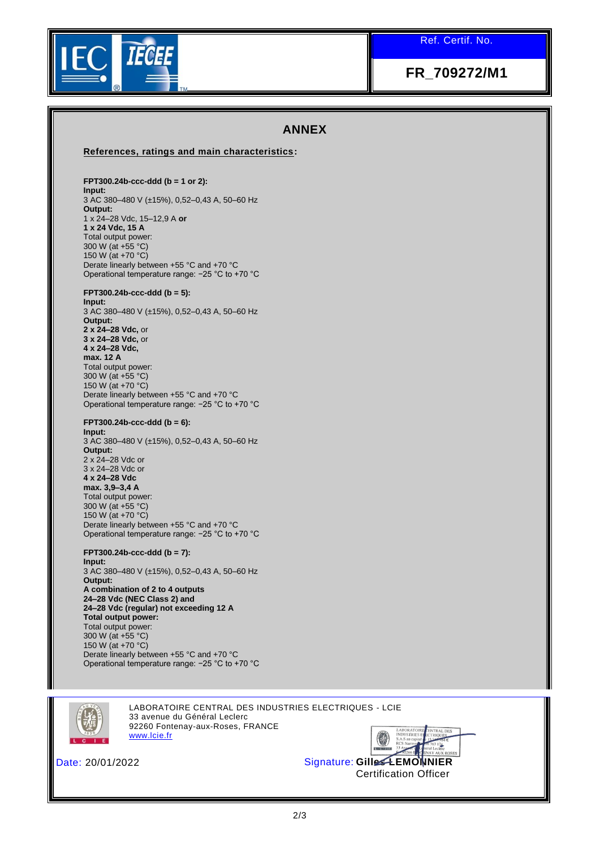Ref. Certif. No.



# **FR\_709272/M1**

### **ANNEX**

#### **References, ratings and main characteristics:**

### **FPT300.24b-ccc-ddd (b = 1 or 2):**

**Input:**  3 AC 380–480 V (±15%), 0,52–0,43 A, 50–60 Hz **Output:**  1 x 24–28 Vdc, 15–12,9 A **or 1 x 24 Vdc, 15 A**  Total output power: 300 W (at +55 °C) 150 W (at +70 °C) Derate linearly between +55 °C and +70 °C Operational temperature range: −25 °C to +70 °C

#### **FPT300.24b-ccc-ddd (b = 5):**

**Input:**  3 AC 380–480 V (±15%), 0,52–0,43 A, 50–60 Hz **Output: 2 x 24–28 Vdc,** or **3 x 24–28 Vdc,** or **4 x 24–28 Vdc, max. 12 A**  Total output power: 300 W (at +55 °C) 150 W (at +70 °C) Derate linearly between +55 °C and +70 °C Operational temperature range: −25 °C to +70 °C

#### **FPT300.24b-ccc-ddd (b = 6): Input:**  3 AC 380–480 V (±15%), 0,52–0,43 A, 50–60 Hz **Output:**  2 x 24–28 Vdc or 3 x 24–28 Vdc or **4 x 24–28 Vdc max. 3,9–3,4 A**  Total output power: 300 W (at +55 °C) 150 W (at +70 °C) Derate linearly between +55 °C and +70 °C Operational temperature range: −25 °C to +70 °C

**FPT300.24b-ccc-ddd (b = 7): Input:**  3 AC 380–480 V (±15%), 0,52–0,43 A, 50–60 Hz **Output: A combination of 2 to 4 outputs 24–28 Vdc (NEC Class 2) and 24–28 Vdc (regular) not exceeding 12 A Total output power:**  Total output power: 300 W (at +55 °C) 150 W (at +70 °C) Derate linearly between +55 °C and +70 °C Operational temperature range: −25 °C to +70 °C



LABORATOIRE CENTRAL DES INDUSTRIES ELECTRIQUES - LCIE 33 avenue du Général Leclerc 92260 Fontenay-aux-Roses, FRANCE [www.lcie.fr](http://www.lcie.fr/)